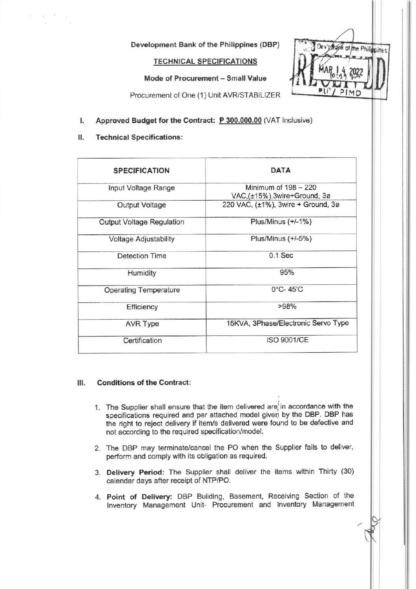Development Bank of the Philippines (DBP)

**TECHNICAL SPECIFICATIONS** 

Mode of Procurement - Small Value



Procurement of One (1) Unit AVR/STABILIZER

- Approved Budget for the Contract: P 300,000.00 (VAT Inclusive)  $\mathbf{I}$ .
- 11. **Technical Specifications:**

 $\sim$ 

| <b>SPECIFICATION</b>             | <b>DATA</b>                                           |
|----------------------------------|-------------------------------------------------------|
| Input Voltage Range              | Minimum of $198 - 220$<br>VAC,(±15%),3wire+Ground, 3ø |
| Output Voltage                   | 220 VAC, (±1%), 3wire + Ground, 3ø                    |
| <b>Output Voltage Regulation</b> | Plus/Minus (+/-1%)                                    |
| <b>Voltage Adjustability</b>     | Plus/Minus $(+/-5%)$                                  |
| <b>Detection Time</b>            | $0.1$ Sec                                             |
| Humidity                         | 95%                                                   |
| <b>Operating Temperature</b>     | $0^{\circ}$ C-45 $^{\circ}$ C                         |
| Efficiency                       | >98%                                                  |
| <b>AVR Type</b>                  | 15KVA, 3Phase/Electronic Servo Type                   |
| Certification                    | <b>ISO 9001/CE</b>                                    |

## **Conditions of the Contract:** Ш.

- 1. The Supplier shall ensure that the item delivered are in accordance with the specifications required and per attached model given by the DBP. DBP has the right to reject delivery if item/s delivered were found to be defective and not according to the required specification/model.
- 2. The DBP may terminate/cancel the PO when the Supplier fails to deliver, perform and comply with its obligation as required.
- 3. Delivery Period: The Supplier shall deliver the items within Thirty (30) calendar days after receipt of NTP/PO.
- 4. Point of Delivery: DBP Building, Basement, Receiving Section of the Inventory Management Unit- Procurement and Inventory Management